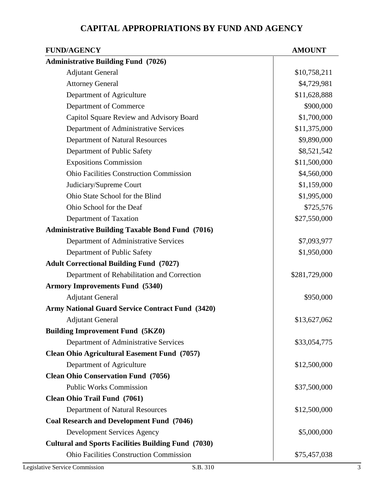## **CAPITAL APPROPRIATIONS BY FUND AND AGENCY**

| <b>FUND/AGENCY</b>                                         | <b>AMOUNT</b> |
|------------------------------------------------------------|---------------|
| <b>Administrative Building Fund (7026)</b>                 |               |
| <b>Adjutant General</b>                                    | \$10,758,211  |
| <b>Attorney General</b>                                    | \$4,729,981   |
| Department of Agriculture                                  | \$11,628,888  |
| Department of Commerce                                     | \$900,000     |
| Capitol Square Review and Advisory Board                   | \$1,700,000   |
| Department of Administrative Services                      | \$11,375,000  |
| Department of Natural Resources                            | \$9,890,000   |
| Department of Public Safety                                | \$8,521,542   |
| <b>Expositions Commission</b>                              | \$11,500,000  |
| <b>Ohio Facilities Construction Commission</b>             | \$4,560,000   |
| Judiciary/Supreme Court                                    | \$1,159,000   |
| Ohio State School for the Blind                            | \$1,995,000   |
| Ohio School for the Deaf                                   | \$725,576     |
| Department of Taxation                                     | \$27,550,000  |
| <b>Administrative Building Taxable Bond Fund (7016)</b>    |               |
| Department of Administrative Services                      | \$7,093,977   |
| Department of Public Safety                                | \$1,950,000   |
| <b>Adult Correctional Building Fund (7027)</b>             |               |
| Department of Rehabilitation and Correction                | \$281,729,000 |
| <b>Armory Improvements Fund (5340)</b>                     |               |
| <b>Adjutant General</b>                                    | \$950,000     |
| <b>Army National Guard Service Contract Fund (3420)</b>    |               |
| <b>Adjutant General</b>                                    | \$13,627,062  |
| <b>Building Improvement Fund (5KZ0)</b>                    |               |
| Department of Administrative Services                      | \$33,054,775  |
| <b>Clean Ohio Agricultural Easement Fund (7057)</b>        |               |
| Department of Agriculture                                  | \$12,500,000  |
| <b>Clean Ohio Conservation Fund (7056)</b>                 |               |
| <b>Public Works Commission</b>                             | \$37,500,000  |
| <b>Clean Ohio Trail Fund (7061)</b>                        |               |
| Department of Natural Resources                            | \$12,500,000  |
| <b>Coal Research and Development Fund (7046)</b>           |               |
| <b>Development Services Agency</b>                         | \$5,000,000   |
| <b>Cultural and Sports Facilities Building Fund (7030)</b> |               |
| <b>Ohio Facilities Construction Commission</b>             | \$75,457,038  |